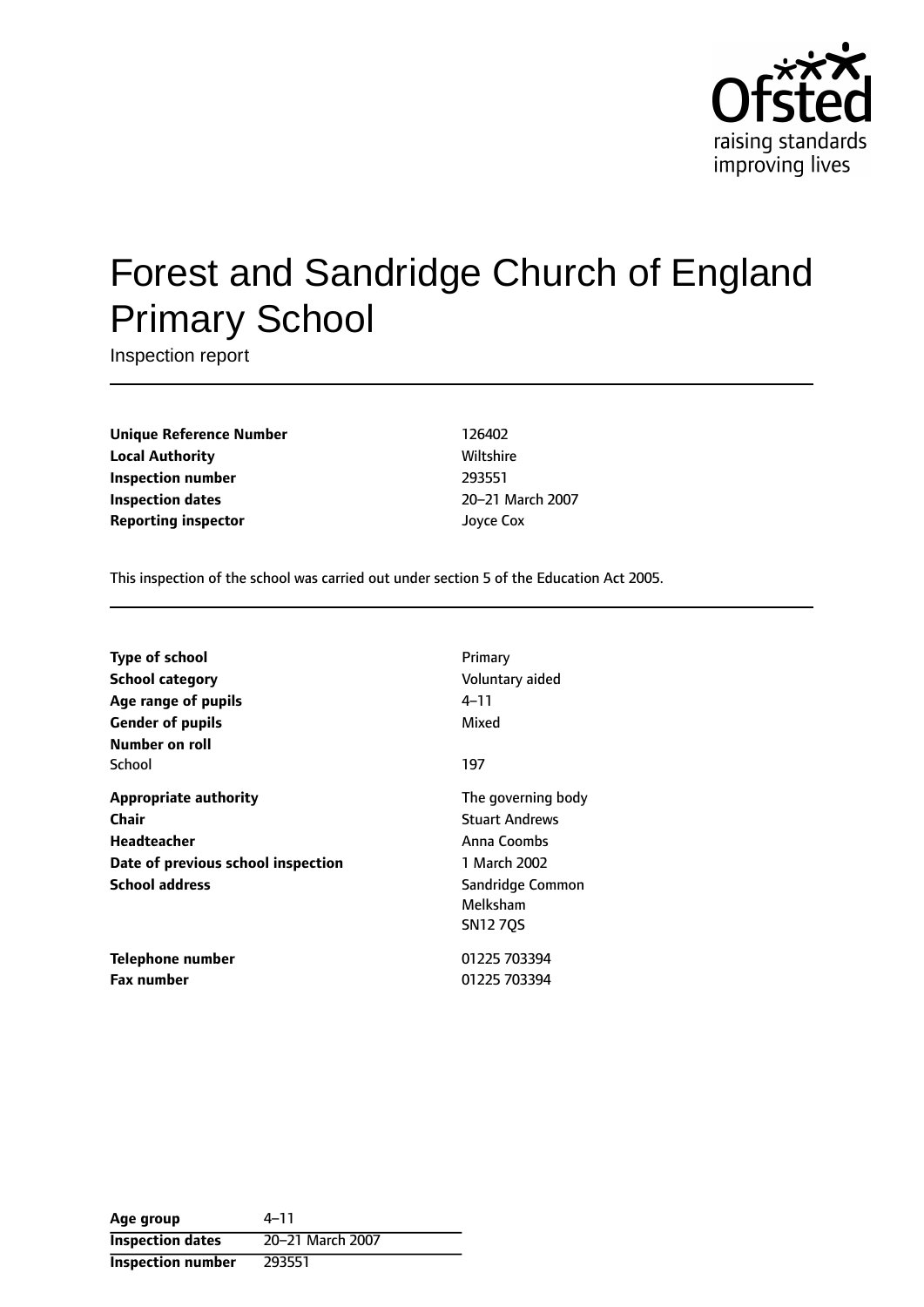

# Forest and Sandridge Church of England Primary School

Inspection report

**Unique Reference Number** 126402 **Local Authority Miltshire** Wiltshire **Inspection number** 293551 **Inspection dates** 20-21 March 2007 **Reporting inspector** Joyce Cox

This inspection of the school was carried out under section 5 of the Education Act 2005.

| <b>Type of school</b>              | Primary               |
|------------------------------------|-----------------------|
| <b>School category</b>             | Voluntary aided       |
| Age range of pupils                | 4–11                  |
| <b>Gender of pupils</b>            | Mixed                 |
| Number on roll                     |                       |
| School                             | 197                   |
| <b>Appropriate authority</b>       | The governing body    |
| Chair                              | <b>Stuart Andrews</b> |
| Headteacher                        | Anna Coombs           |
| Date of previous school inspection | 1 March 2002          |
| <b>School address</b>              | Sandridge Common      |
|                                    | Melksham              |
|                                    | <b>SN1270S</b>        |
| Telephone number                   | 01225 703394          |
| <b>Fax number</b>                  | 01225 703394          |

| Age group                | $4 - 11$         |
|--------------------------|------------------|
| <b>Inspection dates</b>  | 20-21 March 2007 |
| <b>Inspection number</b> | 293551           |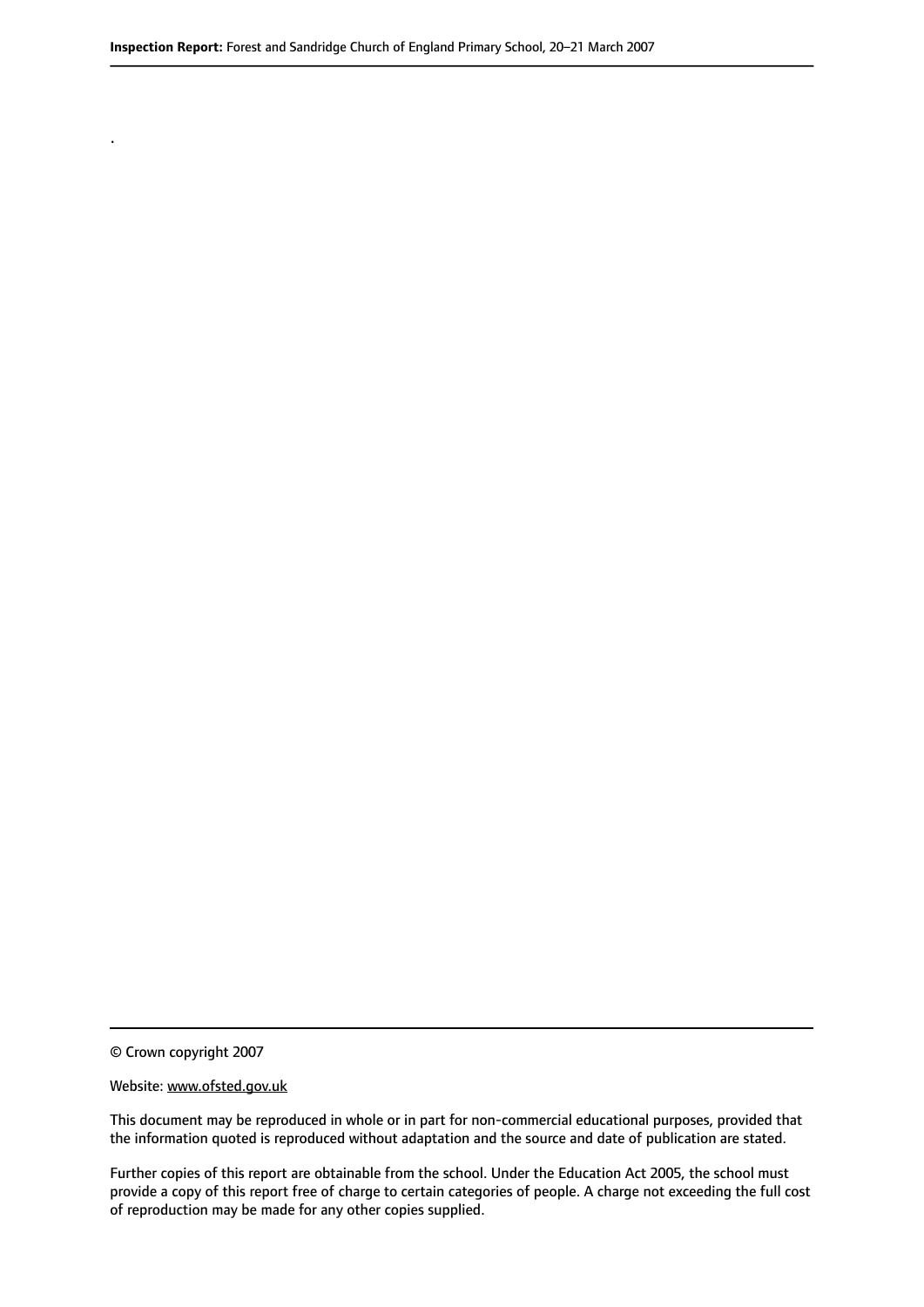© Crown copyright 2007

.

#### Website: www.ofsted.gov.uk

This document may be reproduced in whole or in part for non-commercial educational purposes, provided that the information quoted is reproduced without adaptation and the source and date of publication are stated.

Further copies of this report are obtainable from the school. Under the Education Act 2005, the school must provide a copy of this report free of charge to certain categories of people. A charge not exceeding the full cost of reproduction may be made for any other copies supplied.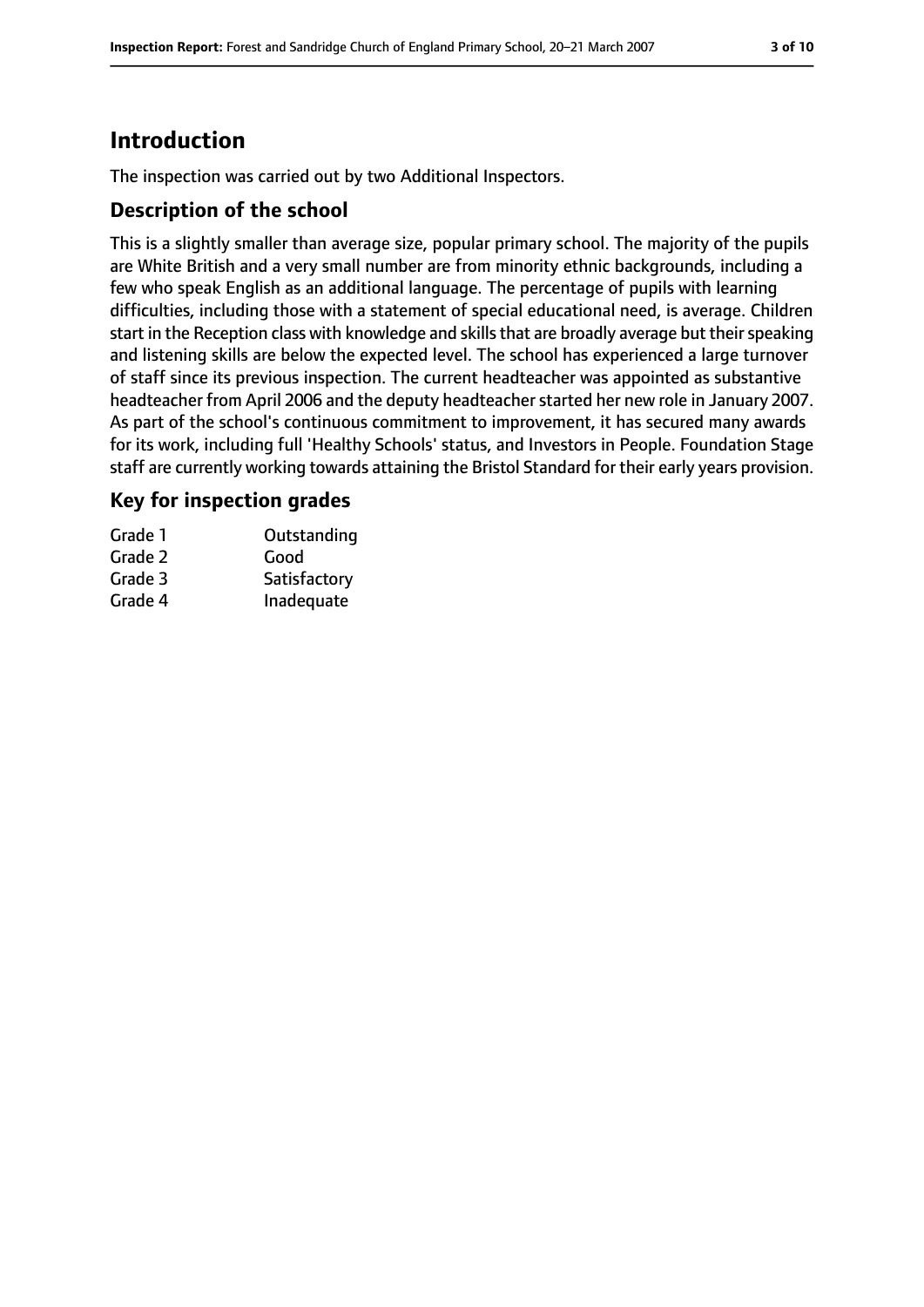# **Introduction**

The inspection was carried out by two Additional Inspectors.

### **Description of the school**

This is a slightly smaller than average size, popular primary school. The majority of the pupils are White British and a very small number are from minority ethnic backgrounds, including a few who speak English as an additional language. The percentage of pupils with learning difficulties, including those with a statement of special educational need, is average. Children start in the Reception class with knowledge and skills that are broadly average but their speaking and listening skills are below the expected level. The school has experienced a large turnover of staff since its previous inspection. The current headteacher was appointed as substantive headteacher from April 2006 and the deputy headteacher started her new role in January 2007. As part of the school's continuous commitment to improvement, it has secured many awards for its work, including full 'Healthy Schools' status, and Investors in People. Foundation Stage staff are currently working towards attaining the Bristol Standard for their early years provision.

### **Key for inspection grades**

| Grade 1 | Outstanding  |
|---------|--------------|
| Grade 2 | Good         |
| Grade 3 | Satisfactory |
| Grade 4 | Inadequate   |
|         |              |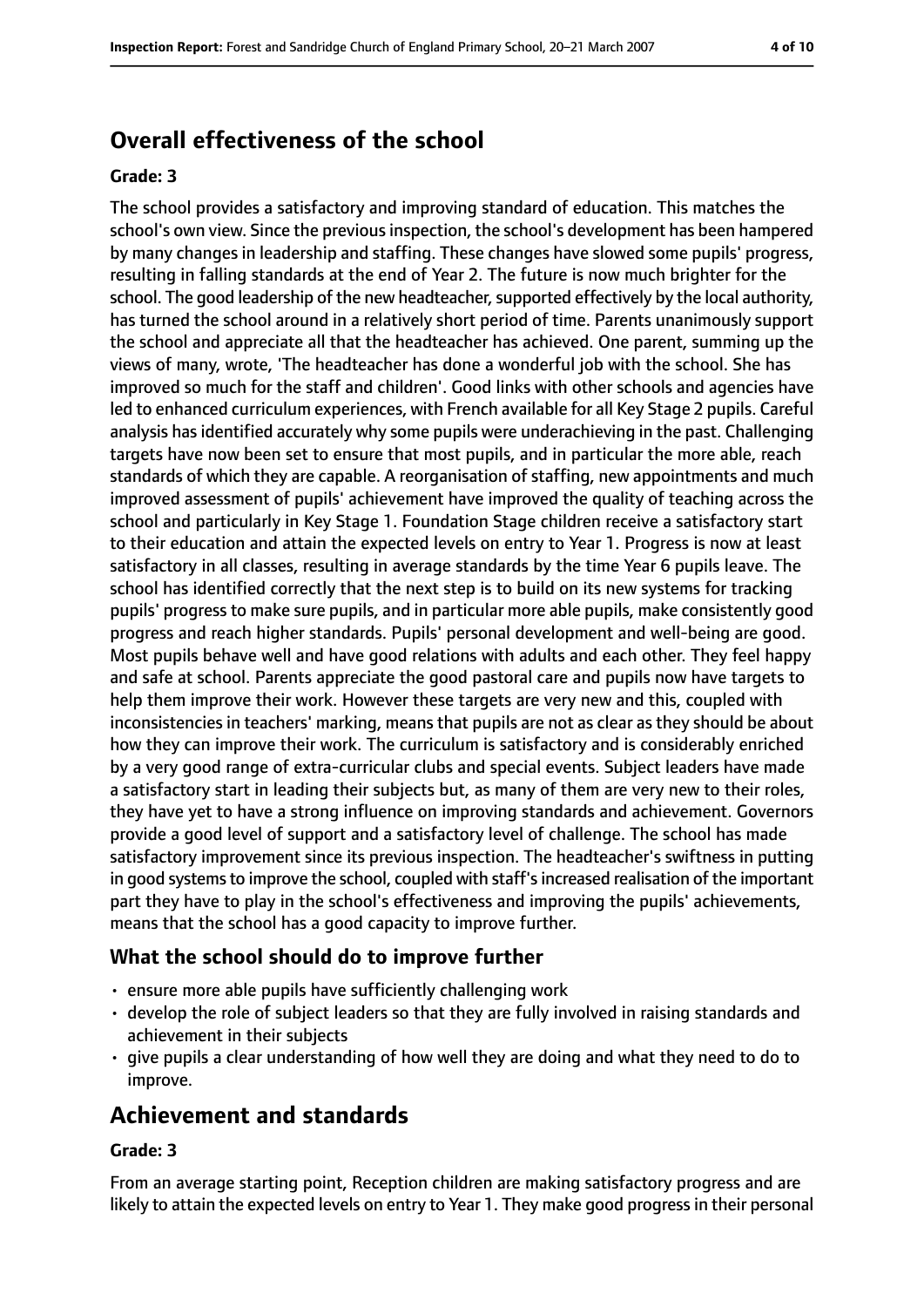# **Overall effectiveness of the school**

#### **Grade: 3**

The school provides a satisfactory and improving standard of education. This matches the school's own view. Since the previous inspection, the school's development has been hampered by many changes in leadership and staffing. These changes have slowed some pupils' progress, resulting in falling standards at the end of Year 2. The future is now much brighter for the school. The good leadership of the new headteacher, supported effectively by the local authority, has turned the school around in a relatively short period of time. Parents unanimously support the school and appreciate all that the headteacher has achieved. One parent, summing up the views of many, wrote, 'The headteacher has done a wonderful job with the school. She has improved so much for the staff and children'. Good links with other schools and agencies have led to enhanced curriculum experiences, with French available for all Key Stage 2 pupils. Careful analysis has identified accurately why some pupils were underachieving in the past. Challenging targets have now been set to ensure that most pupils, and in particular the more able, reach standards of which they are capable. A reorganisation of staffing, new appointments and much improved assessment of pupils' achievement have improved the quality of teaching across the school and particularly in Key Stage 1. Foundation Stage children receive a satisfactory start to their education and attain the expected levels on entry to Year 1. Progress is now at least satisfactory in all classes, resulting in average standards by the time Year 6 pupils leave. The school has identified correctly that the next step is to build on its new systems for tracking pupils' progress to make sure pupils, and in particular more able pupils, make consistently good progress and reach higher standards. Pupils' personal development and well-being are good. Most pupils behave well and have good relations with adults and each other. They feel happy and safe at school. Parents appreciate the good pastoral care and pupils now have targets to help them improve their work. However these targets are very new and this, coupled with inconsistencies in teachers' marking, means that pupils are not as clear as they should be about how they can improve their work. The curriculum is satisfactory and is considerably enriched by a very good range of extra-curricular clubs and special events. Subject leaders have made a satisfactory start in leading their subjects but, as many of them are very new to their roles, they have yet to have a strong influence on improving standards and achievement. Governors provide a good level of support and a satisfactory level of challenge. The school has made satisfactory improvement since its previous inspection. The headteacher's swiftness in putting in good systems to improve the school, coupled with staff's increased realisation of the important part they have to play in the school's effectiveness and improving the pupils' achievements, means that the school has a good capacity to improve further.

### **What the school should do to improve further**

- ensure more able pupils have sufficiently challenging work
- develop the role of subject leaders so that they are fully involved in raising standards and achievement in their subjects
- give pupils a clear understanding of how well they are doing and what they need to do to improve.

# **Achievement and standards**

#### **Grade: 3**

From an average starting point, Reception children are making satisfactory progress and are likely to attain the expected levels on entry to Year 1. They make good progress in their personal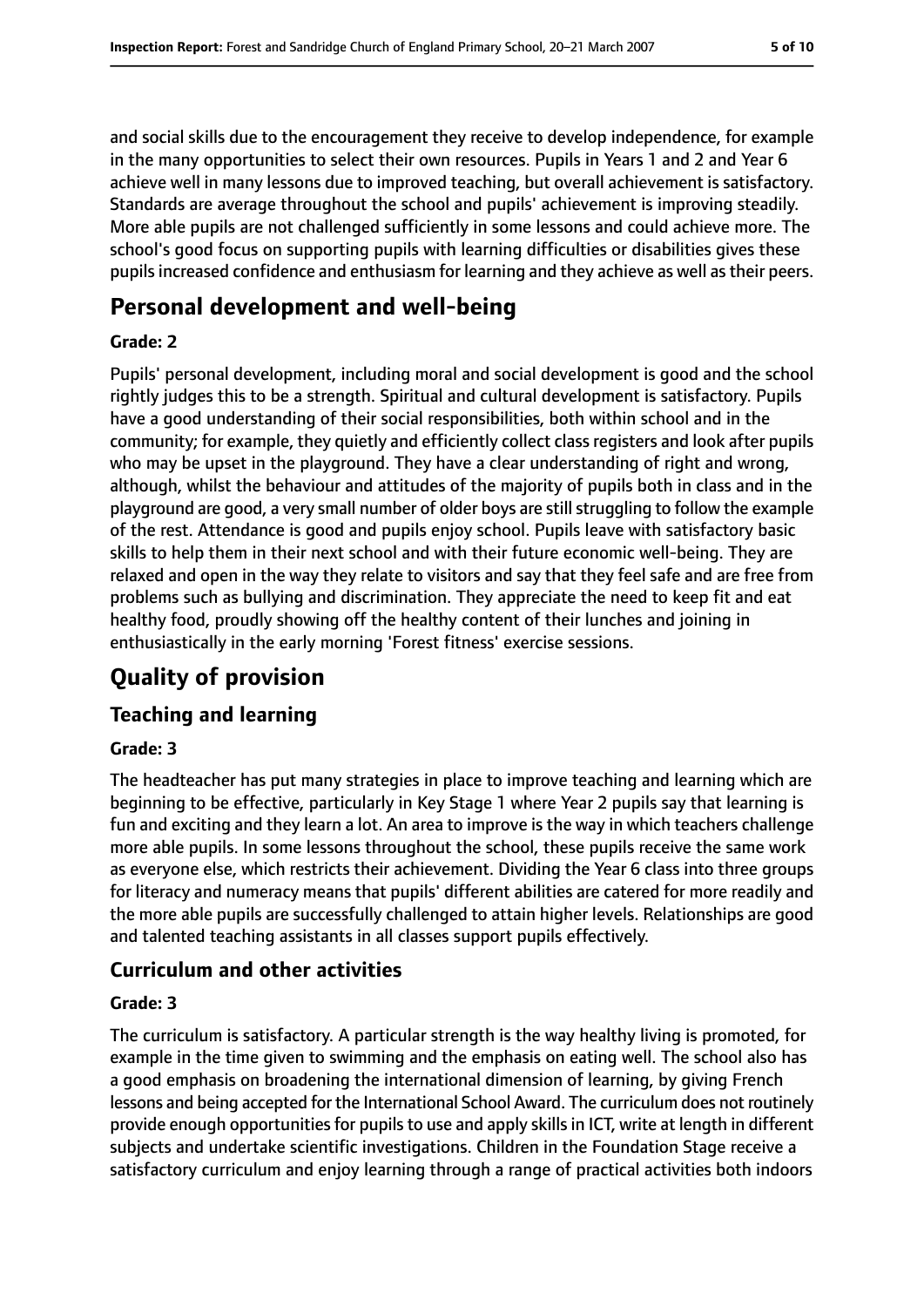and social skills due to the encouragement they receive to develop independence, for example in the many opportunities to select their own resources. Pupils in Years 1 and 2 and Year 6 achieve well in many lessons due to improved teaching, but overall achievement is satisfactory. Standards are average throughout the school and pupils' achievement is improving steadily. More able pupils are not challenged sufficiently in some lessons and could achieve more. The school's good focus on supporting pupils with learning difficulties or disabilities gives these pupils increased confidence and enthusiasm for learning and they achieve as well as their peers.

# **Personal development and well-being**

#### **Grade: 2**

Pupils' personal development, including moral and social development is good and the school rightly judges this to be a strength. Spiritual and cultural development is satisfactory. Pupils have a good understanding of their social responsibilities, both within school and in the community; for example, they quietly and efficiently collect class registers and look after pupils who may be upset in the playground. They have a clear understanding of right and wrong, although, whilst the behaviour and attitudes of the majority of pupils both in class and in the playground are good, a very small number of older boys are still struggling to follow the example of the rest. Attendance is good and pupils enjoy school. Pupils leave with satisfactory basic skills to help them in their next school and with their future economic well-being. They are relaxed and open in the way they relate to visitors and say that they feel safe and are free from problems such as bullying and discrimination. They appreciate the need to keep fit and eat healthy food, proudly showing off the healthy content of their lunches and joining in enthusiastically in the early morning 'Forest fitness' exercise sessions.

# **Quality of provision**

# **Teaching and learning**

#### **Grade: 3**

The headteacher has put many strategies in place to improve teaching and learning which are beginning to be effective, particularly in Key Stage 1 where Year 2 pupils say that learning is fun and exciting and they learn a lot. An area to improve is the way in which teachers challenge more able pupils. In some lessons throughout the school, these pupils receive the same work as everyone else, which restricts their achievement. Dividing the Year 6 class into three groups for literacy and numeracy means that pupils' different abilities are catered for more readily and the more able pupils are successfully challenged to attain higher levels. Relationships are good and talented teaching assistants in all classes support pupils effectively.

# **Curriculum and other activities**

#### **Grade: 3**

The curriculum is satisfactory. A particular strength is the way healthy living is promoted, for example in the time given to swimming and the emphasis on eating well. The school also has a good emphasis on broadening the international dimension of learning, by giving French lessons and being accepted for the International School Award. The curriculum does not routinely provide enough opportunities for pupils to use and apply skills in ICT, write at length in different subjects and undertake scientific investigations. Children in the Foundation Stage receive a satisfactory curriculum and enjoy learning through a range of practical activities both indoors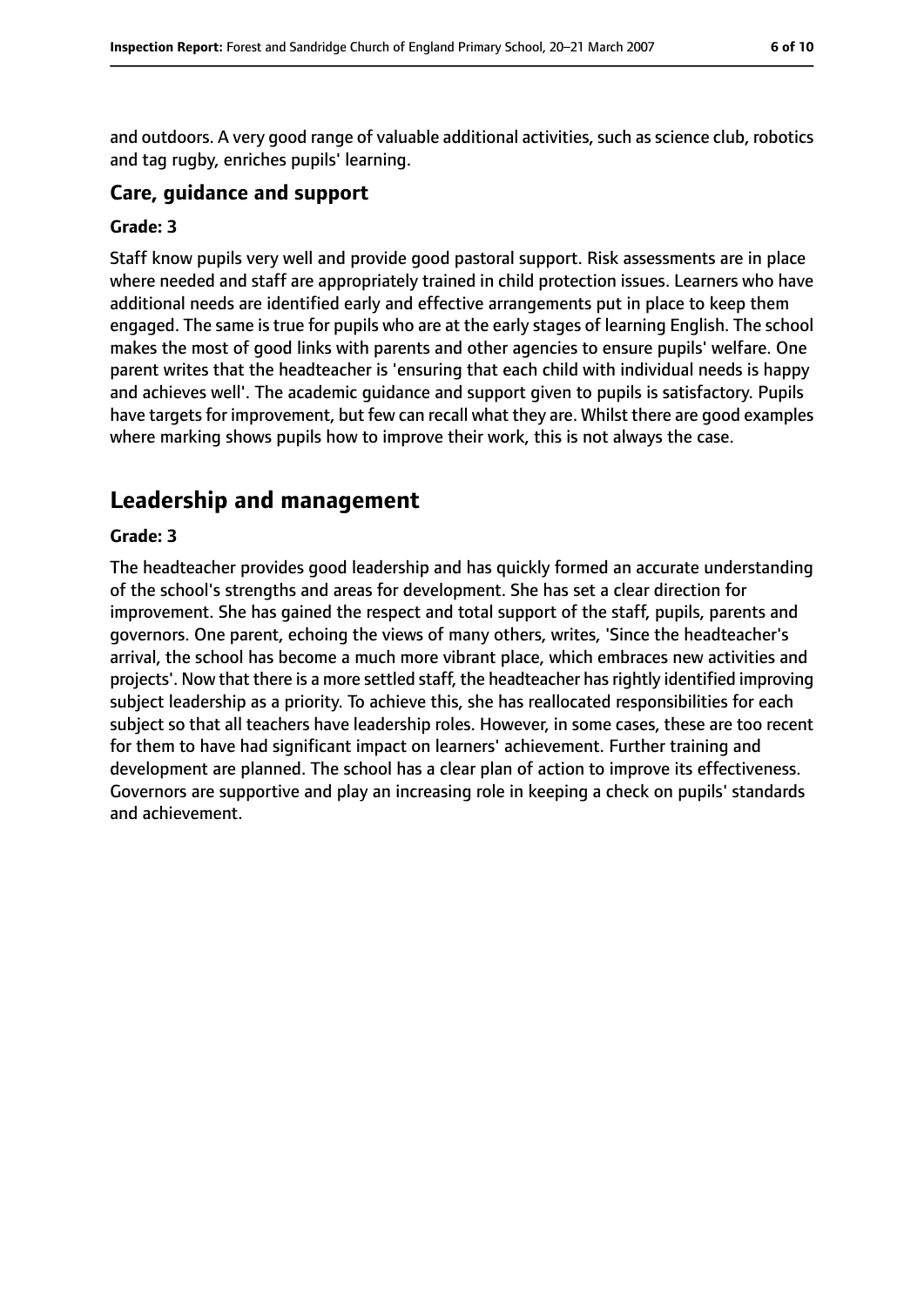and outdoors. A very good range of valuable additional activities, such as science club, robotics and tag rugby, enriches pupils' learning.

#### **Care, guidance and support**

#### **Grade: 3**

Staff know pupils very well and provide good pastoral support. Risk assessments are in place where needed and staff are appropriately trained in child protection issues. Learners who have additional needs are identified early and effective arrangements put in place to keep them engaged. The same is true for pupils who are at the early stages of learning English. The school makes the most of good links with parents and other agencies to ensure pupils' welfare. One parent writes that the headteacher is 'ensuring that each child with individual needs is happy and achieves well'. The academic guidance and support given to pupils is satisfactory. Pupils have targets for improvement, but few can recall what they are. Whilst there are good examples where marking shows pupils how to improve their work, this is not always the case.

# **Leadership and management**

#### **Grade: 3**

The headteacher provides good leadership and has quickly formed an accurate understanding of the school's strengths and areas for development. She has set a clear direction for improvement. She has gained the respect and total support of the staff, pupils, parents and governors. One parent, echoing the views of many others, writes, 'Since the headteacher's arrival, the school has become a much more vibrant place, which embraces new activities and projects'. Now that there is a more settled staff, the headteacher hasrightly identified improving subject leadership as a priority. To achieve this, she has reallocated responsibilities for each subject so that all teachers have leadership roles. However, in some cases, these are too recent for them to have had significant impact on learners' achievement. Further training and development are planned. The school has a clear plan of action to improve its effectiveness. Governors are supportive and play an increasing role in keeping a check on pupils' standards and achievement.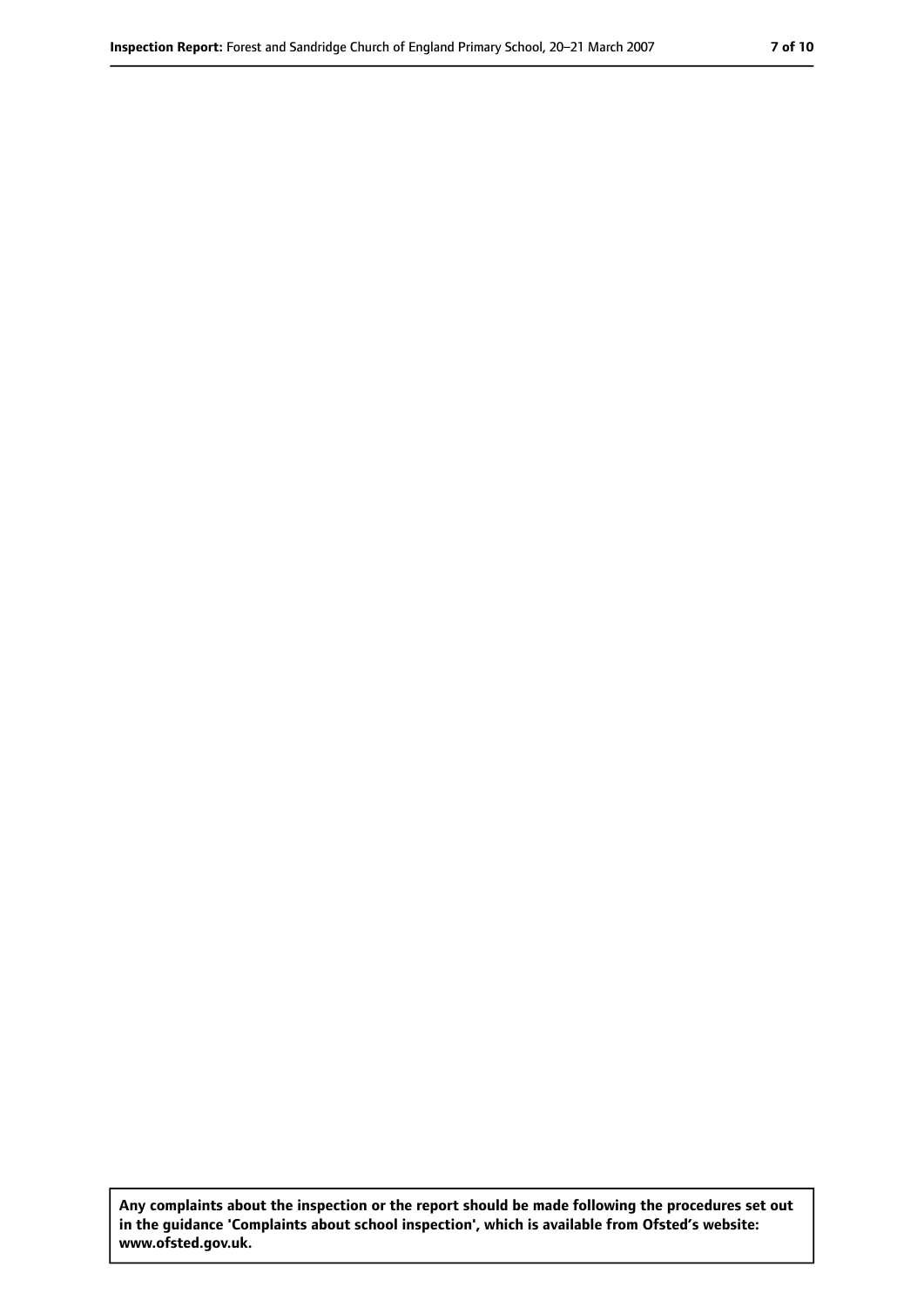**Any complaints about the inspection or the report should be made following the procedures set out in the guidance 'Complaints about school inspection', which is available from Ofsted's website: www.ofsted.gov.uk.**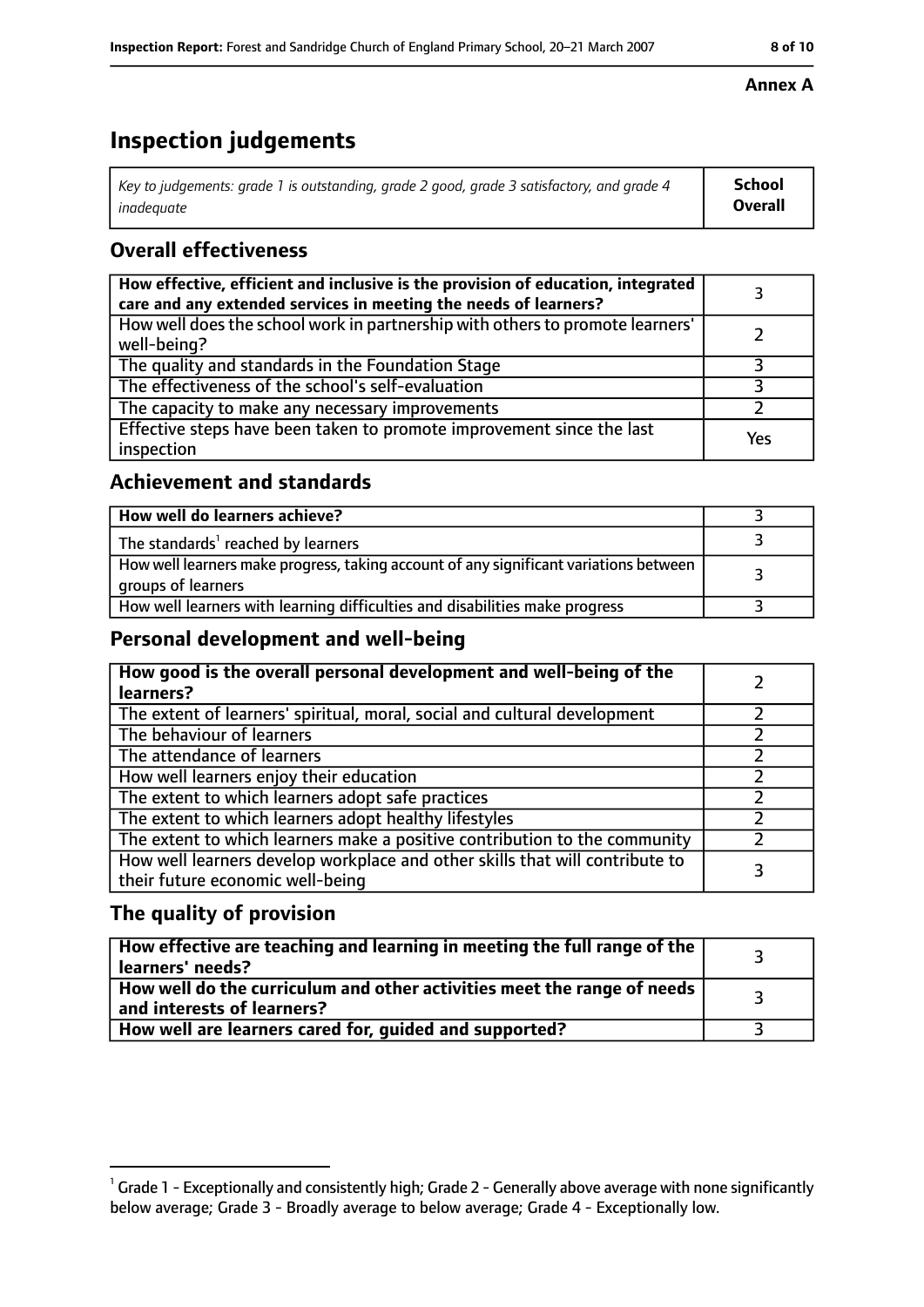# **Inspection judgements**

| Key to judgements: grade 1 is outstanding, grade 2 good, grade 3 satisfactory, and grade 4 | <b>School</b>  |
|--------------------------------------------------------------------------------------------|----------------|
| inadeauate                                                                                 | <b>Overall</b> |

# **Overall effectiveness**

| How effective, efficient and inclusive is the provision of education, integrated<br>care and any extended services in meeting the needs of learners? |     |
|------------------------------------------------------------------------------------------------------------------------------------------------------|-----|
| How well does the school work in partnership with others to promote learners'<br>well-being?                                                         |     |
| The quality and standards in the Foundation Stage                                                                                                    |     |
| The effectiveness of the school's self-evaluation                                                                                                    |     |
| The capacity to make any necessary improvements                                                                                                      |     |
| Effective steps have been taken to promote improvement since the last<br>inspection                                                                  | Yes |

## **Achievement and standards**

| How well do learners achieve?                                                                               |  |
|-------------------------------------------------------------------------------------------------------------|--|
| The standards <sup>1</sup> reached by learners                                                              |  |
| How well learners make progress, taking account of any significant variations between<br>groups of learners |  |
| How well learners with learning difficulties and disabilities make progress                                 |  |

### **Personal development and well-being**

| How good is the overall personal development and well-being of the<br>learners?                                  |  |
|------------------------------------------------------------------------------------------------------------------|--|
| The extent of learners' spiritual, moral, social and cultural development                                        |  |
| The behaviour of learners                                                                                        |  |
| The attendance of learners                                                                                       |  |
| How well learners enjoy their education                                                                          |  |
| The extent to which learners adopt safe practices                                                                |  |
| The extent to which learners adopt healthy lifestyles                                                            |  |
| The extent to which learners make a positive contribution to the community                                       |  |
| How well learners develop workplace and other skills that will contribute to<br>their future economic well-being |  |

### **The quality of provision**

| How effective are teaching and learning in meeting the full range of the<br>learners' needs?          |  |
|-------------------------------------------------------------------------------------------------------|--|
| How well do the curriculum and other activities meet the range of needs<br>and interests of learners? |  |
| How well are learners cared for, guided and supported?                                                |  |

#### **Annex A**

 $^1$  Grade 1 - Exceptionally and consistently high; Grade 2 - Generally above average with none significantly below average; Grade 3 - Broadly average to below average; Grade 4 - Exceptionally low.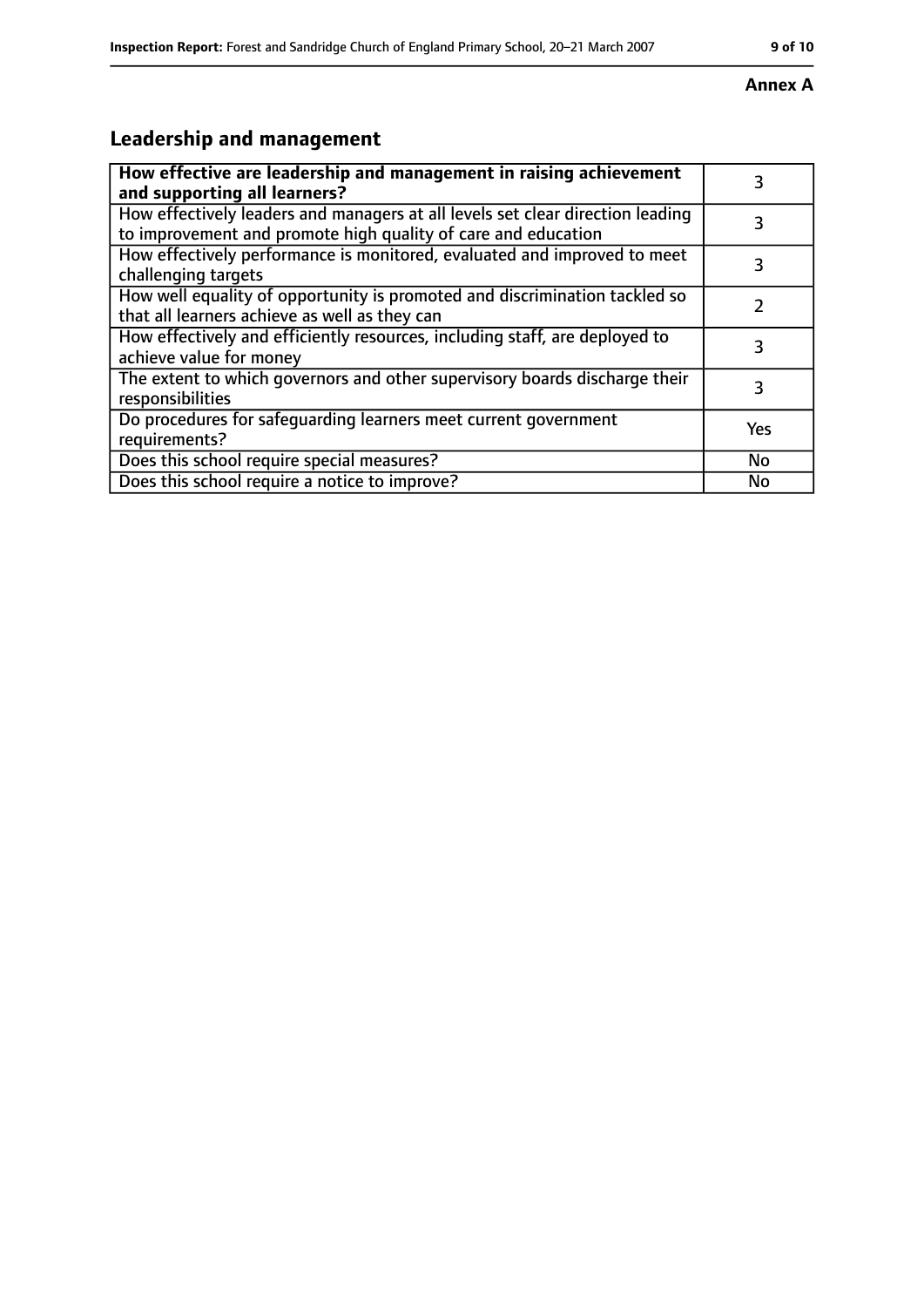# **Annex A**

# **Leadership and management**

| How effective are leadership and management in raising achievement<br>and supporting all learners?                                              | 3   |
|-------------------------------------------------------------------------------------------------------------------------------------------------|-----|
| How effectively leaders and managers at all levels set clear direction leading<br>to improvement and promote high quality of care and education |     |
| How effectively performance is monitored, evaluated and improved to meet<br>challenging targets                                                 |     |
| How well equality of opportunity is promoted and discrimination tackled so<br>that all learners achieve as well as they can                     |     |
| How effectively and efficiently resources, including staff, are deployed to<br>achieve value for money                                          | З   |
| The extent to which governors and other supervisory boards discharge their<br>responsibilities                                                  |     |
| Do procedures for safequarding learners meet current government<br>requirements?                                                                | Yes |
| Does this school require special measures?                                                                                                      | No  |
| Does this school require a notice to improve?                                                                                                   | No  |